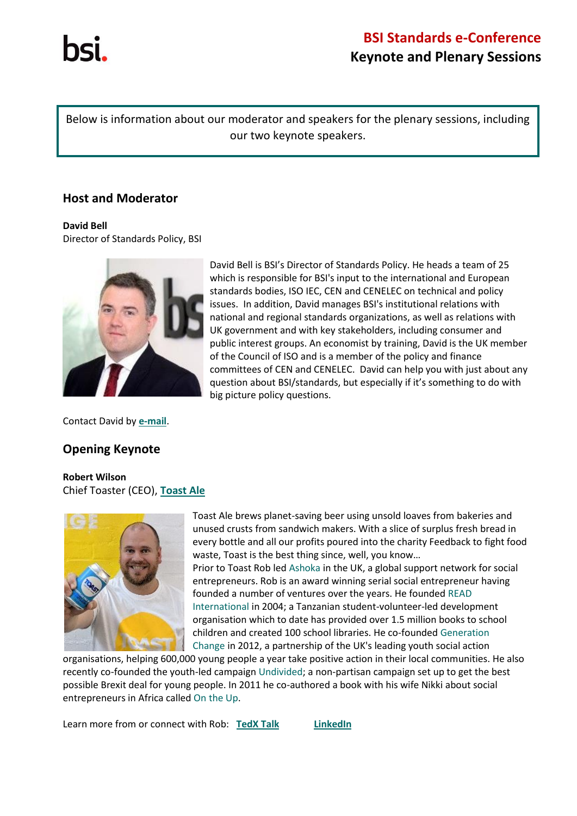Below is information about our moderator and speakers for the plenary sessions, including our two keynote speakers.

## **Host and Moderator**

#### **David Bell**

Director of Standards Policy, BSI



Contact David by **[e-mail](mailto:standards.policy@bsigroup.com?subject=enquiry%20from%20Standards%20e-Conference)**.

## **Opening Keynote**

### **Robert Wilson** Chief Toaster (CEO), **[Toast Ale](http://www.toastale.com/)**



[Toast Ale](http://www.toastale.com/) brews planet-saving beer using unsold loaves from bakeries and unused crusts from sandwich makers. With a slice of surplus fresh bread in every bottle and all our profits poured into the charity Feedback to fight food waste, Toast is the best thing since, well, you know…

Prior to Toast Rob led [Ashoka](https://www.ashoka.org/en/country/united-kingdom) in the UK, a global support network for social entrepreneurs. Rob is an award winning serial social entrepreneur having founded a number of ventures over the years. He founded [READ](http://www.readinternational.org.uk/)  [International](http://www.readinternational.org.uk/) in 2004; a Tanzanian student-volunteer-led development organisation which to date has provided over 1.5 million books to school children and created 100 school libraries. He co-founded [Generation](http://www.generationchange.org.uk/)  [Change](http://www.generationchange.org.uk/) in 2012, a partnership of the UK's leading youth social action

organisations, helping 600,000 young people a year take positive action in their local communities. He also recently co-founded the youth-led campaign [Undivided;](http://www.weareundivided.co.uk/) a non-partisan campaign set up to get the best possible Brexit deal for young people. In 2011 he co-authored a book with his wife Nikki about social entrepreneurs in Africa called [On the Up.](http://www.ontheup.org.uk/)

Learn more from or connect with Rob: **[TedX](https://www.youtube.com/watch?v=Rz8m1yDE0ms&feature=youtu.be) Talk [LinkedIn](http://uk.linkedin.com/in/robertjnwilson)**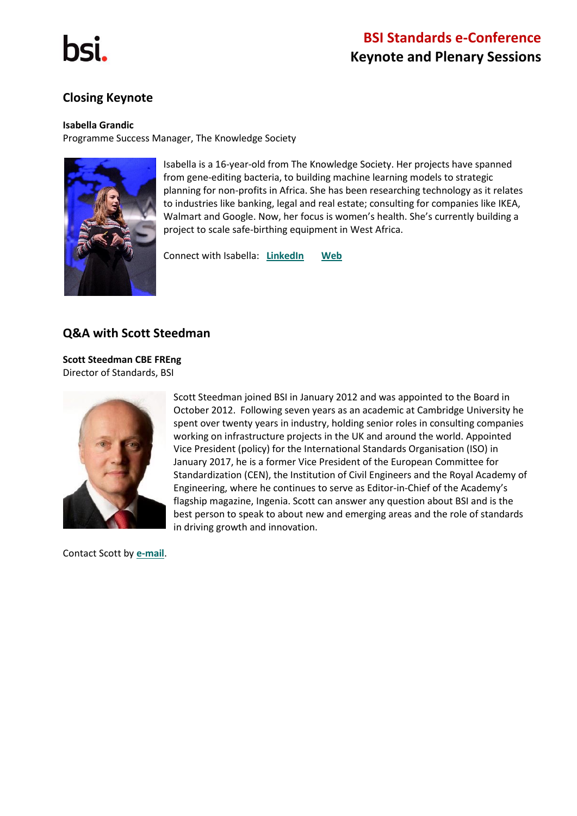

## **Closing Keynote**

#### **Isabella Grandic**

Programme Success Manager, The Knowledge Society



Isabella is a 16-year-old from The Knowledge Society. Her projects have spanned from gene-editing bacteria, to building machine learning models to strategic planning for non-profits in Africa. She has been researching technology as it relates to industries like banking, legal and real estate; consulting for companies like IKEA, Walmart and Google. Now, her focus is women's health. She's currently building a project to scale safe-birthing equipment in West Africa. 

Connect with Isabella: **[LinkedIn](https://www.linkedin.com/in/isabella-grandic-000b25172/) [Web](http://isabellagrandic.com/)**

## **Q&A with Scott Steedman**

**Scott Steedman CBE FREng** Director of Standards, BSI



Scott Steedman joined BSI in January 2012 and was appointed to the Board in October 2012. Following seven years as an academic at Cambridge University he spent over twenty years in industry, holding senior roles in consulting companies working on infrastructure projects in the UK and around the world. Appointed Vice President (policy) for the International Standards Organisation (ISO) in January 2017, he is a former Vice President of the European Committee for Standardization (CEN), the Institution of Civil Engineers and the Royal Academy of Engineering, where he continues to serve as Editor-in-Chief of the Academy's flagship magazine, Ingenia. Scott can answer any question about BSI and is the best person to speak to about new and emerging areas and the role of standards in driving growth and innovation.

Contact Scott by **[e-mail](mailto:standards.policy@bsigroup.com?subject=enquiry%20from%20Standards%20e-Conference)**.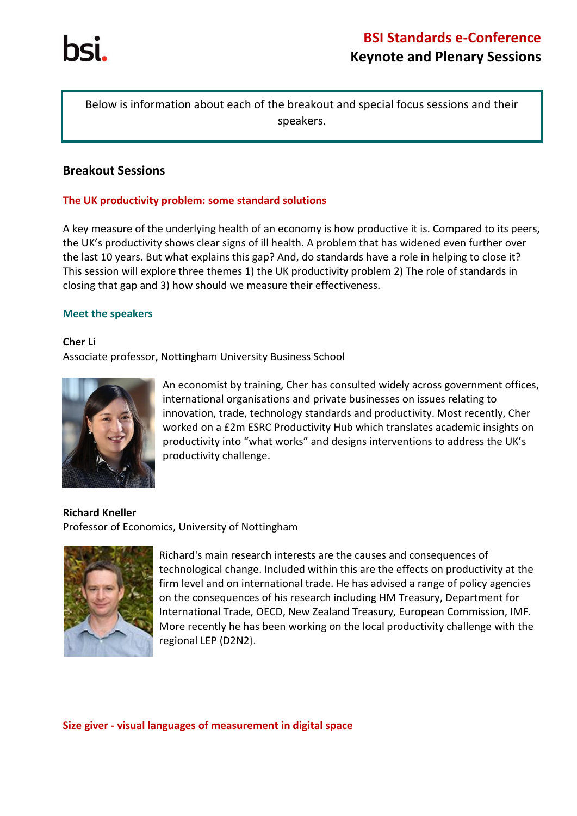

Below is information about each of the breakout and special focus sessions and their speakers.

## **Breakout Sessions**

#### **The UK productivity problem: some standard solutions**

A key measure of the underlying health of an economy is how productive it is. Compared to its peers, the UK's productivity shows clear signs of ill health. A problem that has widened even further over the last 10 years. But what explains this gap? And, do standards have a role in helping to close it?  This session will explore three themes 1) the UK productivity problem 2) The role of standards in closing that gap and 3) how should we measure their effectiveness.

#### **Meet the speakers**

#### **Cher Li**

Associate professor, Nottingham University Business School



An economist by training, Cher has consulted widely across government offices, international organisations and private businesses on issues relating to innovation, trade, technology standards and productivity. Most recently, Cher worked on a £2m ESRC Productivity Hub which translates academic insights on productivity into "what works" and designs interventions to address the UK's productivity challenge.

**Richard Kneller** Professor of Economics, University of Nottingham



Richard's main research interests are the causes and consequences of technological change. Included within this are the effects on productivity at the firm level and on international trade. He has advised a range of policy agencies on the consequences of his research including HM Treasury, Department for International Trade, OECD, New Zealand Treasury, European Commission, IMF. More recently he has been working on the local productivity challenge with the regional LEP (D2N2).

**Size giver - visual languages of measurement in digital space**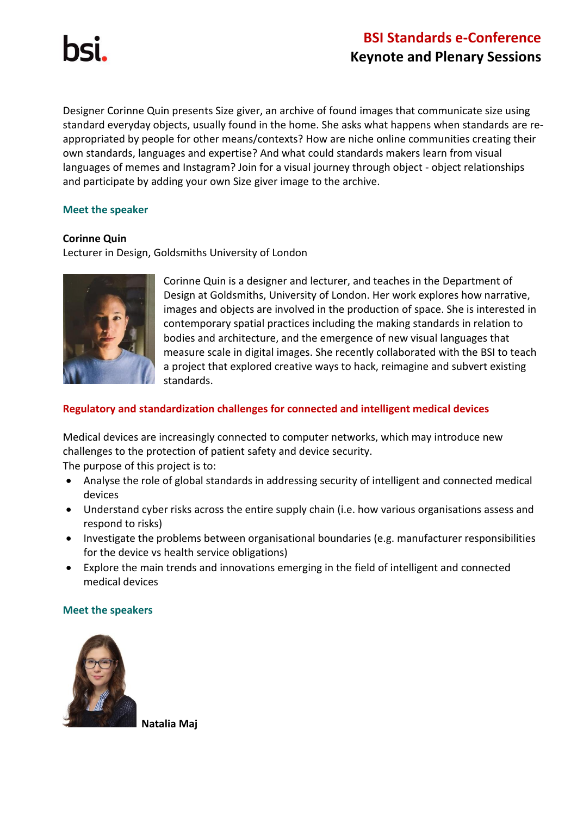Designer Corinne Quin presents Size giver, an archive of found images that communicate size using standard everyday objects, usually found in the home. She asks what happens when standards are reappropriated by people for other means/contexts? How are niche online communities creating their own standards, languages and expertise? And what could standards makers learn from visual languages of memes and Instagram? Join for a visual journey through object - object relationships and participate by adding your own Size giver image to the archive.

### **Meet the speaker**

## **Corinne Quin**

Lecturer in Design, Goldsmiths University of London



Corinne Quin is a designer and lecturer, and teaches in the Department of Design at Goldsmiths, University of London. Her work explores how narrative, images and objects are involved in the production of space. She is interested in contemporary spatial practices including the making standards in relation to bodies and architecture, and the emergence of new visual languages that measure scale in digital images. She recently collaborated with the BSI to teach a project that explored creative ways to hack, reimagine and subvert existing standards.

## **Regulatory and standardization challenges for connected and intelligent medical devices**

Medical devices are increasingly connected to computer networks, which may introduce new challenges to the protection of patient safety and device security.

The purpose of this project is to:  

- Analyse the role of global standards in addressing security of intelligent and connected medical devices
- Understand cyber risks across the entire supply chain (i.e. how various organisations assess and respond to risks)
- Investigate the problems between organisational boundaries (e.g. manufacturer responsibilities for the device vs health service obligations)
- Explore the main trends and innovations emerging in the field of intelligent and connected medical devices

### **Meet the speakers**



**Natalia Maj**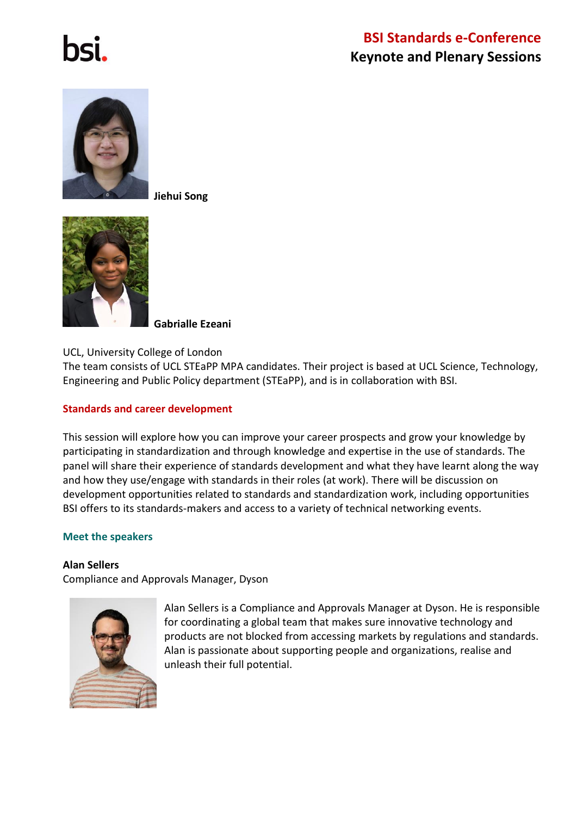

**Jiehui Song**



 **Gabrialle Ezeani**

UCL, University College of London

The team consists of UCL STEaPP MPA candidates. Their project is based at UCL Science, Technology, Engineering and Public Policy department (STEaPP), and is in collaboration with BSI.

#### **Standards and career development**

This session will explore how you can improve your career prospects and grow your knowledge by participating in standardization and through knowledge and expertise in the use of standards. The panel will share their experience of standards development and what they have learnt along the way and how they use/engage with standards in their roles (at work). There will be discussion on development opportunities related to standards and standardization work, including opportunities BSI offers to its standards-makers and access to a variety of technical networking events.

#### **Meet the speakers**

#### **Alan Sellers**

Compliance and Approvals Manager, Dyson



Alan Sellers is a Compliance and Approvals Manager at Dyson. He is responsible for coordinating a global team that makes sure innovative technology and products are not blocked from accessing markets by regulations and standards. Alan is passionate about supporting people and organizations, realise and unleash their full potential.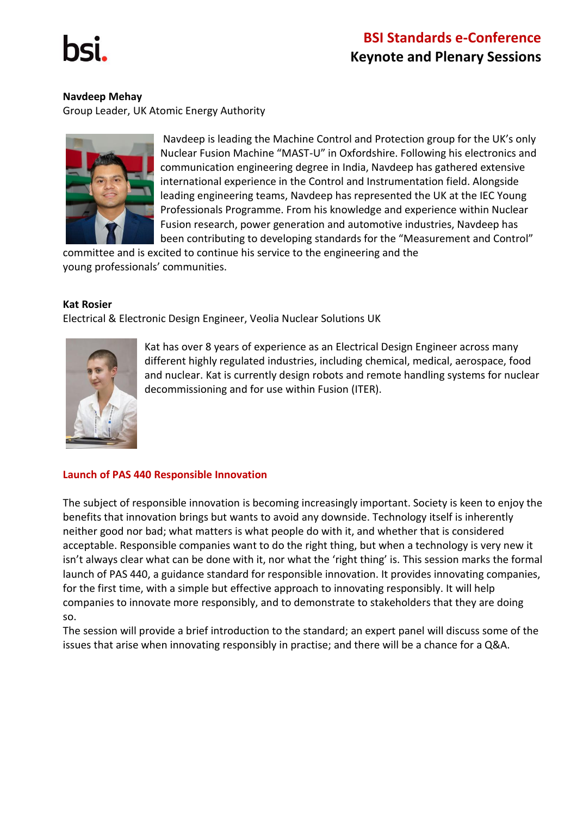

#### **Navdeep Mehay**

Group Leader, UK Atomic Energy Authority



Navdeep is leading the Machine Control and Protection group for the UK's only Nuclear Fusion Machine "MAST-U" in Oxfordshire. Following his electronics and communication engineering degree in India, Navdeep has gathered extensive international experience in the Control and Instrumentation field. Alongside leading engineering teams, Navdeep has represented the UK at the IEC Young Professionals Programme. From his knowledge and experience within Nuclear Fusion research, power generation and automotive industries, Navdeep has been contributing to developing standards for the "Measurement and Control"

committee and is excited to continue his service to the engineering and the young professionals' communities.

#### **Kat Rosier**

Electrical & Electronic Design Engineer, Veolia Nuclear Solutions UK



Kat has over 8 years of experience as an Electrical Design Engineer across many different highly regulated industries, including chemical, medical, aerospace, food and nuclear. Kat is currently design robots and remote handling systems for nuclear decommissioning and for use within Fusion (ITER).

### **Launch of PAS 440 Responsible Innovation**

The subject of responsible innovation is becoming increasingly important. Society is keen to enjoy the benefits that innovation brings but wants to avoid any downside. Technology itself is inherently neither good nor bad; what matters is what people do with it, and whether that is considered acceptable. Responsible companies want to do the right thing, but when a technology is very new it isn't always clear what can be done with it, nor what the 'right thing' is. This session marks the formal launch of PAS 440, a guidance standard for responsible innovation. It provides innovating companies, for the first time, with a simple but effective approach to innovating responsibly. It will help companies to innovate more responsibly, and to demonstrate to stakeholders that they are doing so.

The session will provide a brief introduction to the standard; an expert panel will discuss some of the issues that arise when innovating responsibly in practise; and there will be a chance for a Q&A.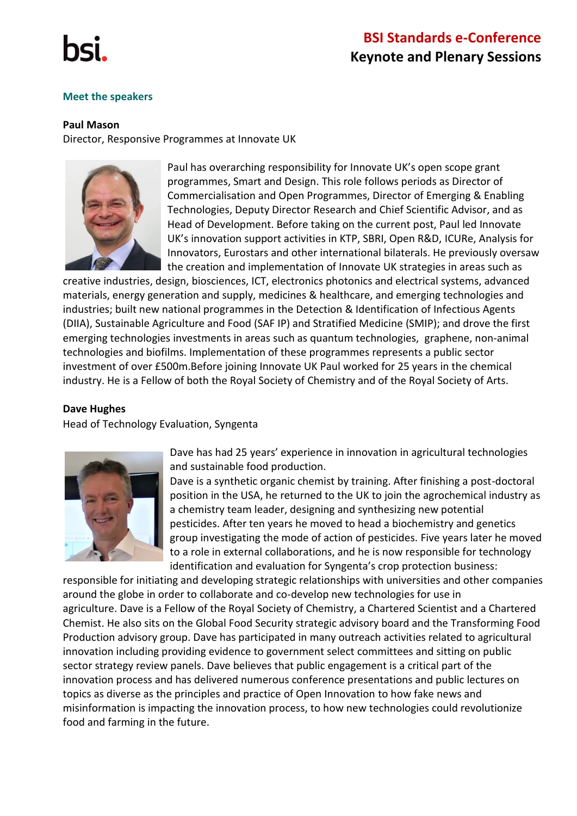

#### **Meet the speakers**

#### **Paul Mason**

Director, Responsive Programmes at Innovate UK



Paul has overarching responsibility for Innovate UK's open scope grant programmes, Smart and Design. This role follows periods as Director of Commercialisation and Open Programmes, Director of Emerging & Enabling Technologies, Deputy Director Research and Chief Scientific Advisor, and as Head of Development. Before taking on the current post, Paul led Innovate UK's innovation support activities in KTP, SBRI, Open R&D, ICURe, Analysis for Innovators, Eurostars and other international bilaterals. He previously oversaw the creation and implementation of Innovate UK strategies in areas such as

creative industries, design, biosciences, ICT, electronics photonics and electrical systems, advanced materials, energy generation and supply, medicines & healthcare, and emerging technologies and industries; built new national programmes in the Detection & Identification of Infectious Agents (DIIA), Sustainable Agriculture and Food (SAF IP) and Stratified Medicine (SMIP); and drove the first emerging technologies investments in areas such as quantum technologies, graphene, non-animal technologies and biofilms. Implementation of these programmes represents a public sector investment of over £500m.Before joining Innovate UK Paul worked for 25 years in the chemical industry. He is a Fellow of both the Royal Society of Chemistry and of the Royal Society of Arts.

#### **Dave Hughes**

Head of Technology Evaluation, Syngenta



Dave has had 25 years' experience in innovation in agricultural technologies and sustainable food production.

Dave is a synthetic organic chemist by training. After finishing a post-doctoral position in the USA, he returned to the UK to join the agrochemical industry as a chemistry team leader, designing and synthesizing new potential pesticides. After ten years he moved to head a biochemistry and genetics group investigating the mode of action of pesticides. Five years later he moved to a role in external collaborations, and he is now responsible for technology identification and evaluation for Syngenta's crop protection business:

responsible for initiating and developing strategic relationships with universities and other companies around the globe in order to collaborate and co-develop new technologies for use in agriculture. Dave is a Fellow of the Royal Society of Chemistry, a Chartered Scientist and a Chartered Chemist. He also sits on the Global Food Security strategic advisory board and the Transforming Food Production advisory group. Dave has participated in many outreach activities related to agricultural innovation including providing evidence to government select committees and sitting on public sector strategy review panels. Dave believes that public engagement is a critical part of the innovation process and has delivered numerous conference presentations and public lectures on topics as diverse as the principles and practice of Open Innovation to how fake news and misinformation is impacting the innovation process, to how new technologies could revolutionize food and farming in the future.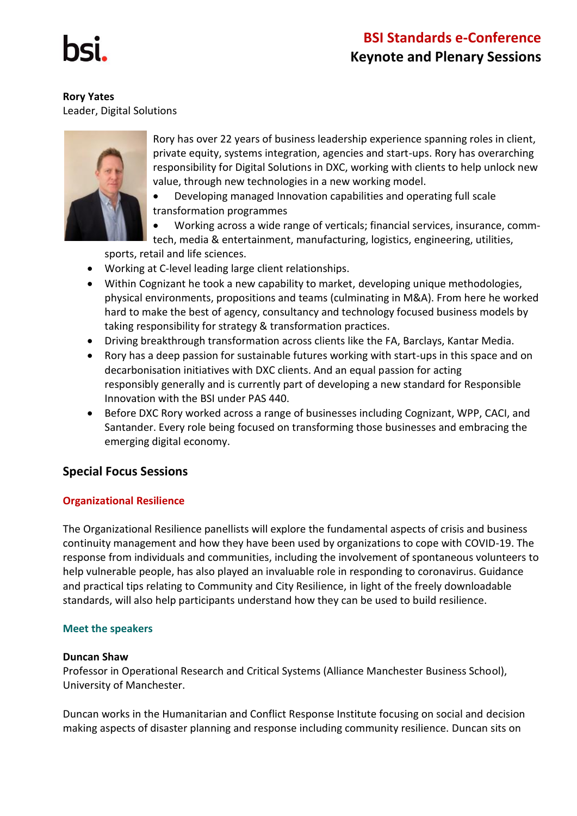**Rory Yates** Leader, Digital Solutions



Rory has over 22 years of business leadership experience spanning roles in client, private equity, systems integration, agencies and start-ups. Rory has overarching responsibility for Digital Solutions in DXC, working with clients to help unlock new value, through new technologies in a new working model.

• Developing managed Innovation capabilities and operating full scale transformation programmes

• Working across a wide range of verticals; financial services, insurance, commtech, media & entertainment, manufacturing, logistics, engineering, utilities,

sports, retail and life sciences.

- Working at C-level leading large client relationships.
- Within Cognizant he took a new capability to market, developing unique methodologies, physical environments, propositions and teams (culminating in M&A). From here he worked hard to make the best of agency, consultancy and technology focused business models by taking responsibility for strategy & transformation practices.
- Driving breakthrough transformation across clients like the FA, Barclays, Kantar Media.
- Rory has a deep passion for sustainable futures working with start-ups in this space and on decarbonisation initiatives with DXC clients. And an equal passion for acting responsibly generally and is currently part of developing a new standard for Responsible Innovation with the BSI under PAS 440.
- Before DXC Rory worked across a range of businesses including Cognizant, WPP, CACI, and Santander. Every role being focused on transforming those businesses and embracing the emerging digital economy.

## **Special Focus Sessions**

## **Organizational Resilience**

The Organizational Resilience panellists will explore the fundamental aspects of crisis and business continuity management and how they have been used by organizations to cope with COVID-19. The response from individuals and communities, including the involvement of spontaneous volunteers to help vulnerable people, has also played an invaluable role in responding to coronavirus. Guidance and practical tips relating to Community and City Resilience, in light of the freely downloadable standards, will also help participants understand how they can be used to build resilience.

### **Meet the speakers**

### **Duncan Shaw**

Professor in Operational Research and Critical Systems (Alliance Manchester Business School), University of Manchester.

Duncan works in the Humanitarian and Conflict Response Institute focusing on social and decision making aspects of disaster planning and response including community resilience. Duncan sits on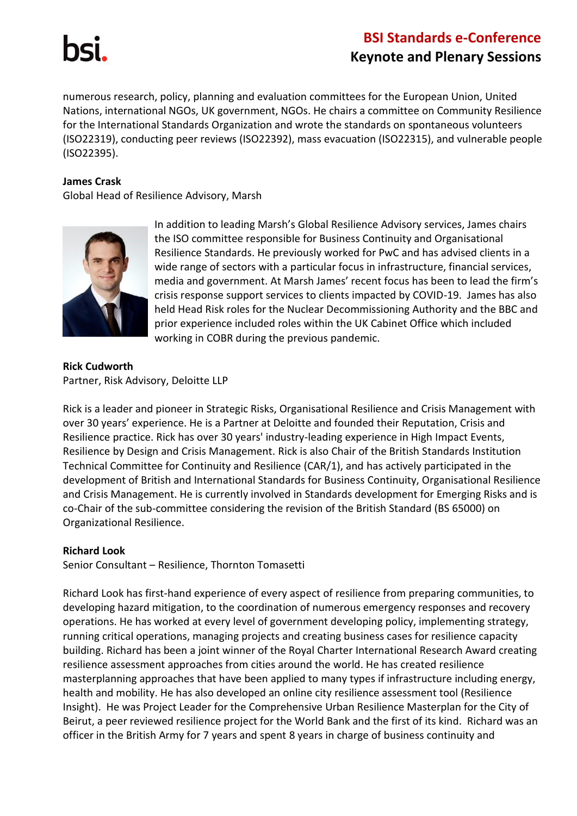

numerous research, policy, planning and evaluation committees for the European Union, United Nations, international NGOs, UK government, NGOs. He chairs a committee on Community Resilience for the International Standards Organization and wrote the standards on spontaneous volunteers (ISO22319), conducting peer reviews (ISO22392), mass evacuation (ISO22315), and vulnerable people (ISO22395).

#### **James Crask**

Global Head of Resilience Advisory, Marsh



In addition to leading Marsh's Global Resilience Advisory services, James chairs the ISO committee responsible for Business Continuity and Organisational Resilience Standards. He previously worked for PwC and has advised clients in a wide range of sectors with a particular focus in infrastructure, financial services, media and government. At Marsh James' recent focus has been to lead the firm's crisis response support services to clients impacted by COVID-19. James has also held Head Risk roles for the Nuclear Decommissioning Authority and the BBC and prior experience included roles within the UK Cabinet Office which included working in COBR during the previous pandemic.

**Rick Cudworth** Partner, Risk Advisory, Deloitte LLP

Rick is a leader and pioneer in Strategic Risks, Organisational Resilience and Crisis Management with over 30 years' experience. He is a Partner at Deloitte and founded their Reputation, Crisis and Resilience practice. Rick has over 30 years' industry-leading experience in High Impact Events, Resilience by Design and Crisis Management. Rick is also Chair of the British Standards Institution Technical Committee for Continuity and Resilience (CAR/1), and has actively participated in the development of British and International Standards for Business Continuity, Organisational Resilience and Crisis Management. He is currently involved in Standards development for Emerging Risks and is co-Chair of the sub-committee considering the revision of the British Standard (BS 65000) on Organizational Resilience.

#### **Richard Look**

Senior Consultant – Resilience, Thornton Tomasetti

Richard Look has first-hand experience of every aspect of resilience from preparing communities, to developing hazard mitigation, to the coordination of numerous emergency responses and recovery operations. He has worked at every level of government developing policy, implementing strategy, running critical operations, managing projects and creating business cases for resilience capacity building. Richard has been a joint winner of the Royal Charter International Research Award creating resilience assessment approaches from cities around the world. He has created resilience masterplanning approaches that have been applied to many types if infrastructure including energy, health and mobility. He has also developed an online city resilience assessment tool (Resilience Insight). He was Project Leader for the Comprehensive Urban Resilience Masterplan for the City of Beirut, a peer reviewed resilience project for the World Bank and the first of its kind. Richard was an officer in the British Army for 7 years and spent 8 years in charge of business continuity and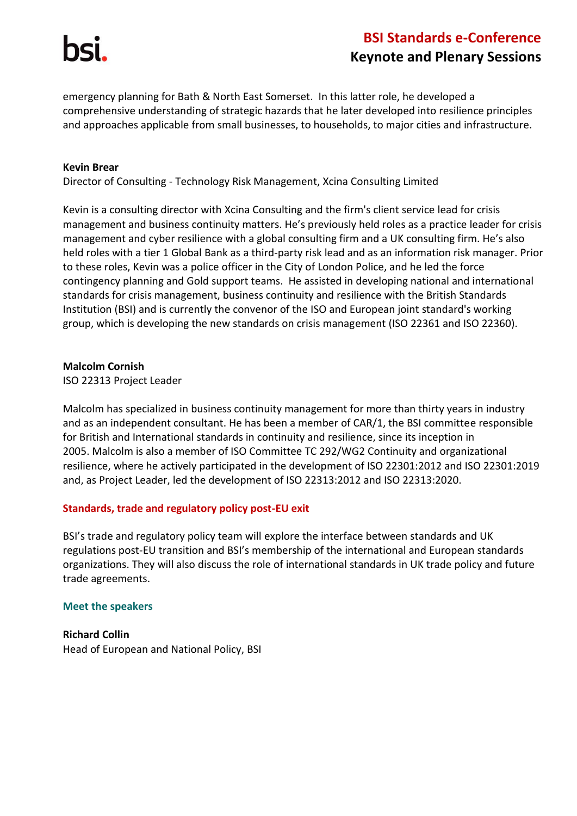emergency planning for Bath & North East Somerset. In this latter role, he developed a comprehensive understanding of strategic hazards that he later developed into resilience principles and approaches applicable from small businesses, to households, to major cities and infrastructure.

#### **Kevin Brear**

Director of Consulting - Technology Risk Management, Xcina Consulting Limited

Kevin is a consulting director with Xcina Consulting and the firm's client service lead for crisis management and business continuity matters. He's previously held roles as a practice leader for crisis management and cyber resilience with a global consulting firm and a UK consulting firm. He's also held roles with a tier 1 Global Bank as a third-party risk lead and as an information risk manager. Prior to these roles, Kevin was a police officer in the City of London Police, and he led the force contingency planning and Gold support teams. He assisted in developing national and international standards for crisis management, business continuity and resilience with the British Standards Institution (BSI) and is currently the convenor of the ISO and European joint standard's working group, which is developing the new standards on crisis management (ISO 22361 and ISO 22360).

#### **Malcolm Cornish**

ISO 22313 Project Leader

Malcolm has specialized in business continuity management for more than thirty years in industry and as an independent consultant. He has been a member of CAR/1, the BSI committee responsible for British and International standards in continuity and resilience, since its inception in 2005. Malcolm is also a member of ISO Committee TC 292/WG2 Continuity and organizational resilience, where he actively participated in the development of ISO 22301:2012 and ISO 22301:2019 and, as Project Leader, led the development of ISO 22313:2012 and ISO 22313:2020.

### **Standards, trade and regulatory policy post-EU exit**

BSI's trade and regulatory policy team will explore the interface between standards and UK regulations post-EU transition and BSI's membership of the international and European standards organizations. They will also discuss the role of international standards in UK trade policy and future trade agreements.

#### **Meet the speakers**

**Richard Collin** Head of European and National Policy, BSI